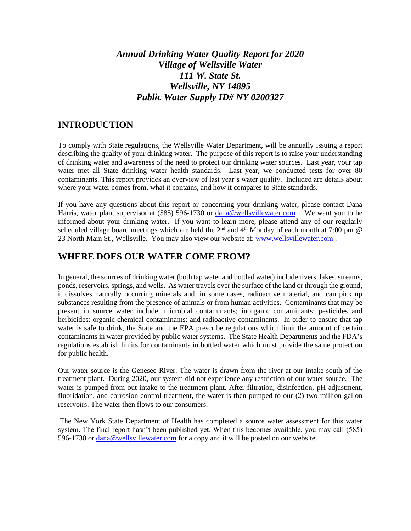# *Annual Drinking Water Quality Report for 2020 Village of Wellsville Water 111 W. State St. Wellsville, NY 14895 Public Water Supply ID# NY 0200327*

#### **INTRODUCTION**

To comply with State regulations, the Wellsville Water Department, will be annually issuing a report describing the quality of your drinking water. The purpose of this report is to raise your understanding of drinking water and awareness of the need to protect our drinking water sources. Last year, your tap water met all State drinking water health standards. Last year, we conducted tests for over 80 contaminants. This report provides an overview of last year's water quality. Included are details about where your water comes from, what it contains, and how it compares to State standards.

If you have any questions about this report or concerning your drinking water, please contact Dana Harris, water plant supervisor at (585) 596-1730 or [dana@wellsvillewater.com](mailto:dana@wellsvillewater.com). We want you to be informed about your drinking water. If you want to learn more, please attend any of our regularly scheduled village board meetings which are held the  $2<sup>nd</sup>$  and  $4<sup>th</sup>$  Monday of each month at 7:00 pm  $@$ 23 North Main St., Wellsville. You may also view our website at: [www.wellsvillewater.com](http://www.wellsvillewater.com/) .

#### **WHERE DOES OUR WATER COME FROM?**

In general, the sources of drinking water (both tap water and bottled water) include rivers, lakes, streams, ponds, reservoirs, springs, and wells. As water travels over the surface of the land or through the ground, it dissolves naturally occurring minerals and, in some cases, radioactive material, and can pick up substances resulting from the presence of animals or from human activities. Contaminants that may be present in source water include: microbial contaminants; inorganic contaminants; pesticides and herbicides; organic chemical contaminants; and radioactive contaminants. In order to ensure that tap water is safe to drink, the State and the EPA prescribe regulations which limit the amount of certain contaminants in water provided by public water systems. The State Health Departments and the FDA's regulations establish limits for contaminants in bottled water which must provide the same protection for public health.

Our water source is the Genesee River. The water is drawn from the river at our intake south of the treatment plant. During 2020, our system did not experience any restriction of our water source. The water is pumped from out intake to the treatment plant. After filtration, disinfection, pH adjustment, fluoridation, and corrosion control treatment, the water is then pumped to our (2) two million-gallon reservoirs. The water then flows to our consumers.

The New York State Department of Health has completed a source water assessment for this water system. The final report hasn't been published yet. When this becomes available, you may call (585) 596-1730 or [dana@wellsvillewater.com](mailto:dana@wellsvillewater.com) for a copy and it will be posted on our website.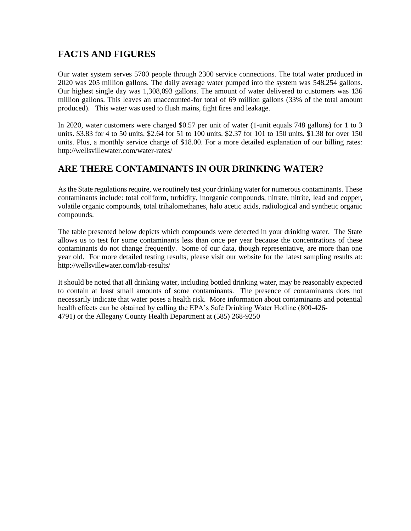# **FACTS AND FIGURES**

Our water system serves 5700 people through 2300 service connections. The total water produced in 2020 was 205 million gallons. The daily average water pumped into the system was 548,254 gallons. Our highest single day was 1,308,093 gallons. The amount of water delivered to customers was 136 million gallons. This leaves an unaccounted-for total of 69 million gallons (33% of the total amount produced). This water was used to flush mains, fight fires and leakage.

In 2020, water customers were charged \$0.57 per unit of water (1-unit equals 748 gallons) for 1 to 3 units. \$3.83 for 4 to 50 units. \$2.64 for 51 to 100 units. \$2.37 for 101 to 150 units. \$1.38 for over 150 units. Plus, a monthly service charge of \$18.00. For a more detailed explanation of our billing rates: http://wellsvillewater.com/water-rates/

# **ARE THERE CONTAMINANTS IN OUR DRINKING WATER?**

As the State regulations require, we routinely test your drinking water for numerous contaminants. These contaminants include: total coliform, turbidity, inorganic compounds, nitrate, nitrite, lead and copper, volatile organic compounds, total trihalomethanes, halo acetic acids, radiological and synthetic organic compounds.

The table presented below depicts which compounds were detected in your drinking water. The State allows us to test for some contaminants less than once per year because the concentrations of these contaminants do not change frequently. Some of our data, though representative, are more than one year old. For more detailed testing results, please visit our website for the latest sampling results at: http://wellsvillewater.com/lab-results/

It should be noted that all drinking water, including bottled drinking water, may be reasonably expected to contain at least small amounts of some contaminants. The presence of contaminants does not necessarily indicate that water poses a health risk. More information about contaminants and potential health effects can be obtained by calling the EPA's Safe Drinking Water Hotline (800-426- 4791) or the Allegany County Health Department at (585) 268-9250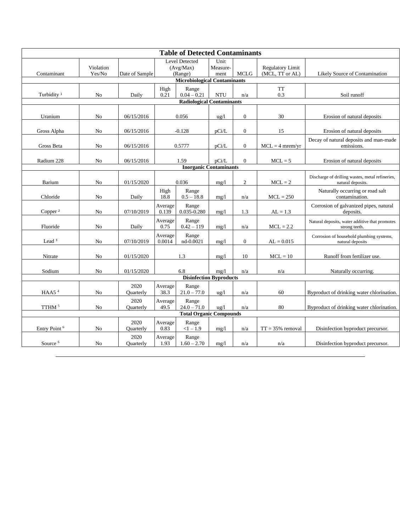| <b>Table of Detected Contaminants</b> |                     |                   |                                               |                        |                          |                  |                                            |                                                                      |
|---------------------------------------|---------------------|-------------------|-----------------------------------------------|------------------------|--------------------------|------------------|--------------------------------------------|----------------------------------------------------------------------|
| Contaminant                           | Violation<br>Yes/No | Date of Sample    | <b>Level Detected</b><br>(Avg/Max)<br>(Range) |                        | Unit<br>Measure-<br>ment | <b>MCLG</b>      | <b>Regulatory Limit</b><br>(MCL, TT or AL) | Likely Source of Contamination                                       |
| <b>Microbiological Contaminants</b>   |                     |                   |                                               |                        |                          |                  |                                            |                                                                      |
| Turbidity <sup>1</sup>                | No                  | Daily             | High<br>0.21                                  | Range<br>$0.04 - 0.21$ | <b>NTU</b>               | n/a              | <b>TT</b><br>0.3                           | Soil runoff                                                          |
| <b>Radiological Contaminants</b>      |                     |                   |                                               |                        |                          |                  |                                            |                                                                      |
| Uranium                               | No                  | 06/15/2016        | 0.056                                         |                        | $\frac{u g}{l}$          | $\boldsymbol{0}$ | 30                                         | Erosion of natural deposits                                          |
| Gross Alpha                           | N <sub>0</sub>      | 06/15/2016        | $-0.128$                                      |                        | pCi/L                    | $\boldsymbol{0}$ | 15                                         | Erosion of natural deposits                                          |
| Gross Beta                            | No                  | 06/15/2016        | 0.5777                                        |                        | pCi/L                    | $\boldsymbol{0}$ | $MCL = 4$ mrem/yr                          | Decay of natural deposits and man-made<br>emissions.                 |
| Radium 228                            | No                  | 06/15/2016        | 1.59                                          |                        | pCi/L                    | $\boldsymbol{0}$ | $MCL = 5$                                  | Erosion of natural deposits                                          |
| <b>Inorganic Contaminants</b>         |                     |                   |                                               |                        |                          |                  |                                            |                                                                      |
| Barium                                | No                  | 01/15/2020        | 0.036                                         |                        | mg/1                     | $\overline{c}$   | $MCL = 2$                                  | Discharge of drilling wastes, metal refineries,<br>natural deposits. |
| Chloride                              | No                  | Daily             | High<br>18.8                                  | Range<br>$0.5 - 18.8$  | mg/1                     | n/a              | $MCL = 250$                                | Naturally occurring or road salt<br>contamination.                   |
| Copper <sup>2</sup>                   | No                  | 07/10/2019        | Average<br>0.139                              | Range<br>0.035-0.280   | mg/1                     | 1.3              | $AL = 1.3$                                 | Corrosion of galvanized pipes, natural<br>deposits.                  |
| Fluoride                              | N <sub>0</sub>      | Daily             | Average<br>0.75                               | Range<br>$0.42 - 119$  | mg/1                     | n/a              | $MCL = 2.2$                                | Natural deposits, water additive that promotes<br>strong teeth.      |
| Lead $3$                              | No                  | 07/10/2019        | Average<br>0.0014                             | Range<br>nd-0.0021     | mg/1                     | $\boldsymbol{0}$ | $AL = 0.015$                               | Corrosion of household plumbing systems,<br>natural deposits         |
| Nitrate                               | No                  | 01/15/2020        | 1.3                                           |                        | mg/l                     | 10               | $MCL = 10$                                 | Runoff from fertilizer use.                                          |
| Sodium                                | No                  | 01/15/2020        | 6.8                                           |                        | mg/1                     | n/a              | n/a                                        | Naturally occurring.                                                 |
| <b>Disinfection Byproducts</b>        |                     |                   |                                               |                        |                          |                  |                                            |                                                                      |
| HAA5 $4$                              | No                  | 2020<br>Quarterly | Average<br>38.3                               | Range<br>$21.0 - 77.0$ | $\frac{u g}{l}$          | n/a              | 60                                         | Byproduct of drinking water chlorination.                            |
| TTHM $^5\,$                           | No                  | 2020<br>Quarterly | Average<br>49.5                               | Range<br>$24.0 - 71.0$ | ug/l                     | n/a              | 80                                         | Byproduct of drinking water chlorination.                            |
| <b>Total Organic Compounds</b>        |                     |                   |                                               |                        |                          |                  |                                            |                                                                      |
| Entry Point <sup>6</sup>              | No                  | 2020<br>Quarterly | Average<br>0.83                               | Range<br>$<1 - 1.9$    | mg/l                     | n/a              | $TT = 35\%$ removal                        | Disinfection byproduct precursor.                                    |
| Source <sup>6</sup>                   | No                  | 2020<br>Quarterly | Average<br>1.93                               | Range<br>$1.60 - 2.70$ | mg/1                     | n/a              | n/a                                        | Disinfection byproduct precursor.                                    |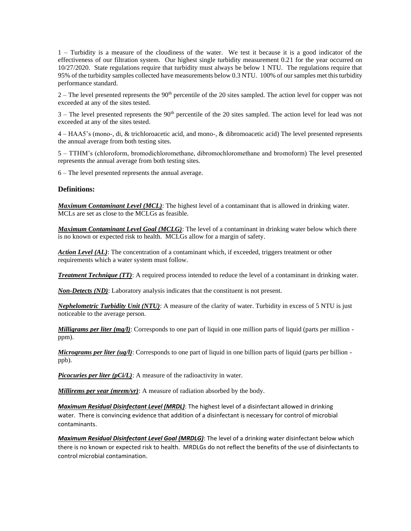1 – Turbidity is a measure of the cloudiness of the water. We test it because it is a good indicator of the effectiveness of our filtration system. Our highest single turbidity measurement 0.21 for the year occurred on 10/27/2020. State regulations require that turbidity must always be below 1 NTU. The regulations require that 95% of the turbidity samples collected have measurements below 0.3 NTU. 100% of our samples met this turbidity performance standard.

2 – The level presented represents the 90th percentile of the 20 sites sampled. The action level for copper was not exceeded at any of the sites tested.

 $3$  – The level presented represents the  $90<sup>th</sup>$  percentile of the 20 sites sampled. The action level for lead was not exceeded at any of the sites tested.

4 – HAA5's (mono-, di, & trichloroacetic acid, and mono-, & dibromoacetic acid) The level presented represents the annual average from both testing sites.

5 – TTHM's (chloroform, bromodichloromethane, dibromochloromethane and bromoform) The level presented represents the annual average from both testing sites.

6 – The level presented represents the annual average.

#### **Definitions:**

*Maximum Contaminant Level (MCL)*: The highest level of a contaminant that is allowed in drinking water. MCLs are set as close to the MCLGs as feasible.

*Maximum Contaminant Level Goal (MCLG)*: The level of a contaminant in drinking water below which there is no known or expected risk to health. MCLGs allow for a margin of safety.

*Action Level (AL)*: The concentration of a contaminant which, if exceeded, triggers treatment or other requirements which a water system must follow.

*Treatment Technique (TT)*: A required process intended to reduce the level of a contaminant in drinking water.

*Non-Detects (ND)*: Laboratory analysis indicates that the constituent is not present.

*Nephelometric Turbidity Unit (NTU)*: A measure of the clarity of water. Turbidity in excess of 5 NTU is just noticeable to the average person.

*Milligrams per liter (mg/l)*: Corresponds to one part of liquid in one million parts of liquid (parts per million ppm).

*Micrograms per liter (ug/l)*: Corresponds to one part of liquid in one billion parts of liquid (parts per billion ppb).

*Picocuries per liter (pCi/L)*: A measure of the radioactivity in water.

*Millirems per year (mrem/yr)*: A measure of radiation absorbed by the body.

*Maximum Residual Disinfectant Level (MRDL)*: The highest level of a disinfectant allowed in drinking water. There is convincing evidence that addition of a disinfectant is necessary for control of microbial contaminants.

*Maximum Residual Disinfectant Level Goal (MRDLG)*: The level of a drinking water disinfectant below which there is no known or expected risk to health. MRDLGs do not reflect the benefits of the use of disinfectants to control microbial contamination.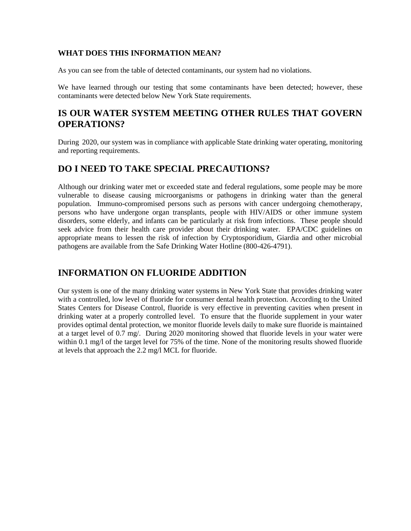#### **WHAT DOES THIS INFORMATION MEAN?**

As you can see from the table of detected contaminants, our system had no violations.

We have learned through our testing that some contaminants have been detected; however, these contaminants were detected below New York State requirements.

## **IS OUR WATER SYSTEM MEETING OTHER RULES THAT GOVERN OPERATIONS?**

During 2020, our system was in compliance with applicable State drinking water operating, monitoring and reporting requirements.

# **DO I NEED TO TAKE SPECIAL PRECAUTIONS?**

Although our drinking water met or exceeded state and federal regulations, some people may be more vulnerable to disease causing microorganisms or pathogens in drinking water than the general population. Immuno-compromised persons such as persons with cancer undergoing chemotherapy, persons who have undergone organ transplants, people with HIV/AIDS or other immune system disorders, some elderly, and infants can be particularly at risk from infections. These people should seek advice from their health care provider about their drinking water. EPA/CDC guidelines on appropriate means to lessen the risk of infection by Cryptosporidium, Giardia and other microbial pathogens are available from the Safe Drinking Water Hotline (800-426-4791).

## **INFORMATION ON FLUORIDE ADDITION**

Our system is one of the many drinking water systems in New York State that provides drinking water with a controlled, low level of fluoride for consumer dental health protection. According to the United States Centers for Disease Control, fluoride is very effective in preventing cavities when present in drinking water at a properly controlled level. To ensure that the fluoride supplement in your water provides optimal dental protection, we monitor fluoride levels daily to make sure fluoride is maintained at a target level of 0.7 mg/. During 2020 monitoring showed that fluoride levels in your water were within 0.1 mg/l of the target level for 75% of the time. None of the monitoring results showed fluoride at levels that approach the 2.2 mg/l MCL for fluoride.